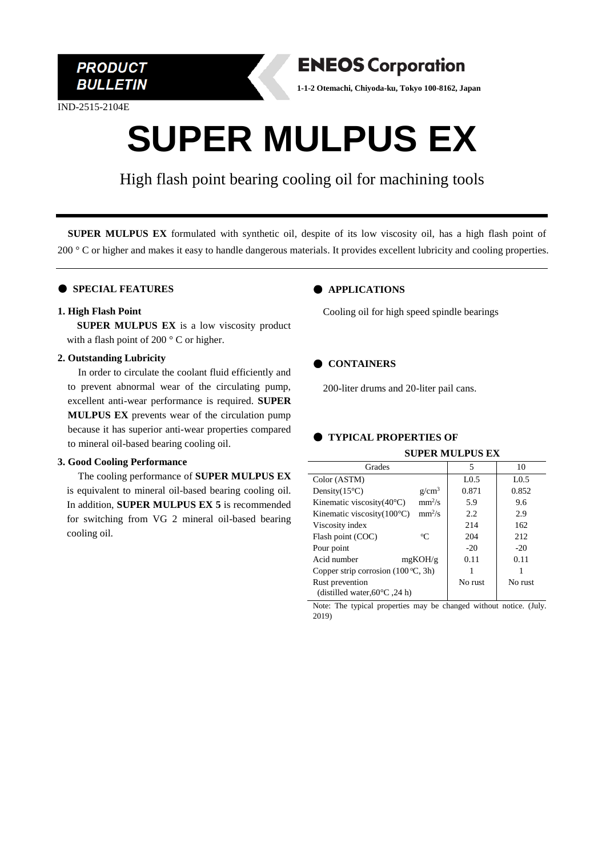

IND-2515-2104E

# **ENEOS Corporation**

**1-1-2 Otemachi, Chiyoda-ku, Tokyo 100-8162, Japan**

# **SUPER MULPUS EX**

High flash point bearing cooling oil for machining tools

**SUPER MULPUS EX** formulated with synthetic oil, despite of its low viscosity oil, has a high flash point of 200 ° C or higher and makes it easy to handle dangerous materials. It provides excellent lubricity and cooling properties.

### ● **SPECIAL FEATURES**

#### **1. High Flash Point**

**SUPER MULPUS EX** is a low viscosity product with a flash point of 200 °C or higher.

#### **2. Outstanding Lubricity**

In order to circulate the coolant fluid efficiently and to prevent abnormal wear of the circulating pump, excellent anti-wear performance is required. **SUPER MULPUS EX** prevents wear of the circulation pump because it has superior anti-wear properties compared to mineral oil-based bearing cooling oil.

#### **3. Good Cooling Performance**

The cooling performance of **SUPER MULPUS EX** is equivalent to mineral oil-based bearing cooling oil. In addition, **SUPER MULPUS EX 5** is recommended for switching from VG 2 mineral oil-based bearing cooling oil.

## ● **APPLICATIONS**

Cooling oil for high speed spindle bearings

# ● **CONTAINERS**

200-liter drums and 20-liter pail cans.

## ● **TYPICAL PROPERTIES OF**

#### **SUPER MULPUS EX**

| Grades                                           | 5                | 10               |
|--------------------------------------------------|------------------|------------------|
| Color (ASTM)                                     | L <sub>0.5</sub> | L <sub>0.5</sub> |
| Density $(15^{\circ}C)$<br>g/cm <sup>3</sup>     | 0.871            | 0.852            |
| $mm^2/s$<br>Kinematic viscosity $(40^{\circ}C)$  | 5.9              | 9.6              |
| $mm^2/s$<br>Kinematic viscosity $(100^{\circ}C)$ | 2.2              | 2.9              |
| Viscosity index                                  | 214              | 162              |
| Flash point (COC)<br>$\rm ^{o}C$                 | 204              | 212              |
| Pour point                                       | $-20$            | $-20$            |
| Acid number<br>mgKOH/g                           | 0.11             | 0.11             |
| Copper strip corrosion $(100^{\circ}C, 3h)$      |                  |                  |
| Rust prevention                                  | No rust          | No rust          |
| (distilled water, $60^{\circ}$ C, 24 h)          |                  |                  |

Note: The typical properties may be changed without notice. (July. 2019)